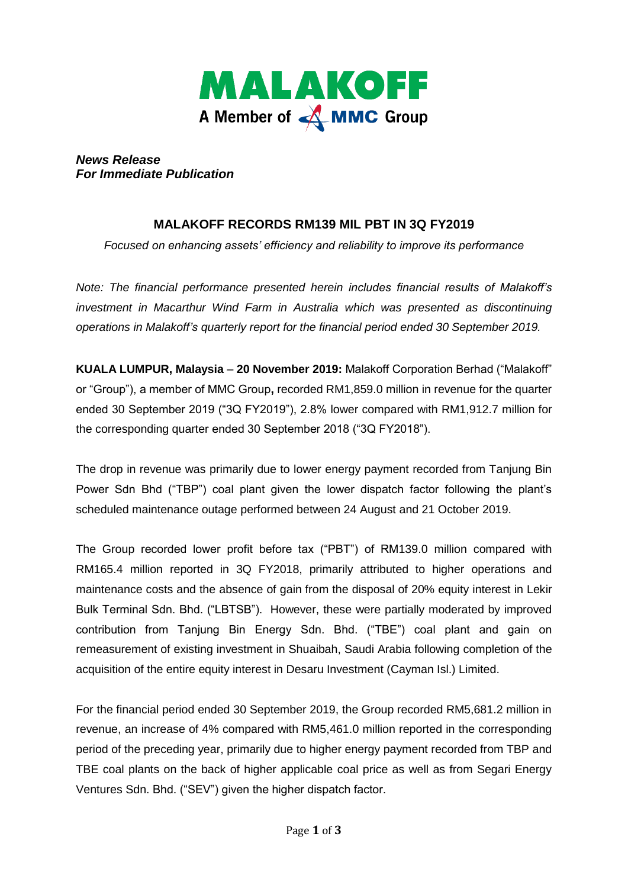

*News Release For Immediate Publication* 

## **MALAKOFF RECORDS RM139 MIL PBT IN 3Q FY2019**

*Focused on enhancing assets' efficiency and reliability to improve its performance*

*Note: The financial performance presented herein includes financial results of Malakoff's investment in Macarthur Wind Farm in Australia which was presented as discontinuing operations in Malakoff's quarterly report for the financial period ended 30 September 2019.*

**KUALA LUMPUR, Malaysia** – **20 November 2019:** Malakoff Corporation Berhad ("Malakoff" or "Group"), a member of MMC Group**,** recorded RM1,859.0 million in revenue for the quarter ended 30 September 2019 ("3Q FY2019"), 2.8% lower compared with RM1,912.7 million for the corresponding quarter ended 30 September 2018 ("3Q FY2018").

The drop in revenue was primarily due to lower energy payment recorded from Tanjung Bin Power Sdn Bhd ("TBP") coal plant given the lower dispatch factor following the plant's scheduled maintenance outage performed between 24 August and 21 October 2019.

The Group recorded lower profit before tax ("PBT") of RM139.0 million compared with RM165.4 million reported in 3Q FY2018, primarily attributed to higher operations and maintenance costs and the absence of gain from the disposal of 20% equity interest in Lekir Bulk Terminal Sdn. Bhd. ("LBTSB"). However, these were partially moderated by improved contribution from Tanjung Bin Energy Sdn. Bhd. ("TBE") coal plant and gain on remeasurement of existing investment in Shuaibah, Saudi Arabia following completion of the acquisition of the entire equity interest in Desaru Investment (Cayman Isl.) Limited.

For the financial period ended 30 September 2019, the Group recorded RM5,681.2 million in revenue, an increase of 4% compared with RM5,461.0 million reported in the corresponding period of the preceding year, primarily due to higher energy payment recorded from TBP and TBE coal plants on the back of higher applicable coal price as well as from Segari Energy Ventures Sdn. Bhd. ("SEV") given the higher dispatch factor.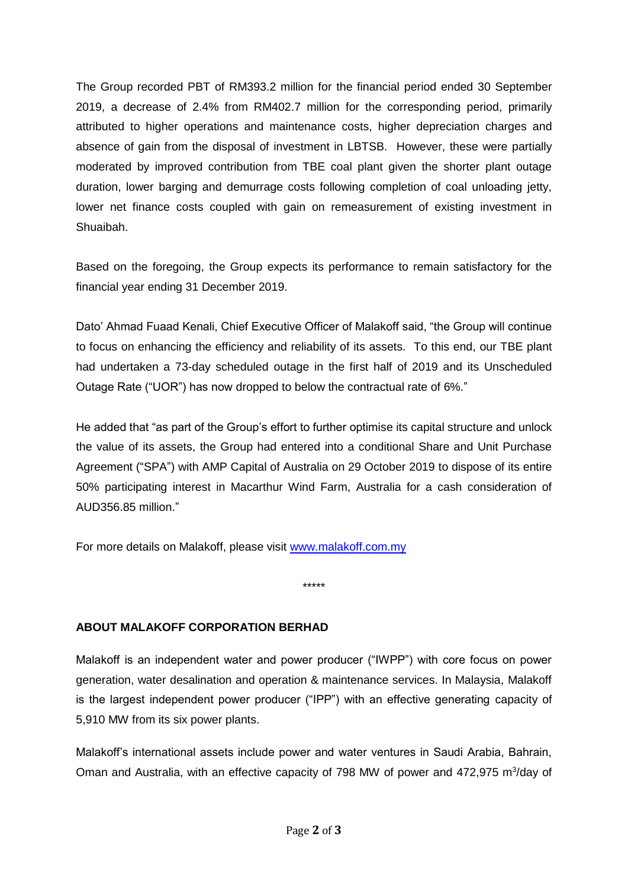The Group recorded PBT of RM393.2 million for the financial period ended 30 September 2019, a decrease of 2.4% from RM402.7 million for the corresponding period, primarily attributed to higher operations and maintenance costs, higher depreciation charges and absence of gain from the disposal of investment in LBTSB. However, these were partially moderated by improved contribution from TBE coal plant given the shorter plant outage duration, lower barging and demurrage costs following completion of coal unloading jetty, lower net finance costs coupled with gain on remeasurement of existing investment in Shuaibah.

Based on the foregoing, the Group expects its performance to remain satisfactory for the financial year ending 31 December 2019.

Dato' Ahmad Fuaad Kenali, Chief Executive Officer of Malakoff said, "the Group will continue to focus on enhancing the efficiency and reliability of its assets. To this end, our TBE plant had undertaken a 73-day scheduled outage in the first half of 2019 and its Unscheduled Outage Rate ("UOR") has now dropped to below the contractual rate of 6%."

He added that "as part of the Group's effort to further optimise its capital structure and unlock the value of its assets, the Group had entered into a conditional Share and Unit Purchase Agreement ("SPA") with AMP Capital of Australia on 29 October 2019 to dispose of its entire 50% participating interest in Macarthur Wind Farm, Australia for a cash consideration of AUD356.85 million."

For more details on Malakoff, please visit [www.malakoff.com.my](http://www.malakoff.com.my/) 

## **ABOUT MALAKOFF CORPORATION BERHAD**

Malakoff is an independent water and power producer ("IWPP") with core focus on power generation, water desalination and operation & maintenance services. In Malaysia, Malakoff is the largest independent power producer ("IPP") with an effective generating capacity of 5,910 MW from its six power plants.

\*\*\*\*\*

Malakoff's international assets include power and water ventures in Saudi Arabia, Bahrain, Oman and Australia, with an effective capacity of 798 MW of power and 472,975 m<sup>3</sup>/day of